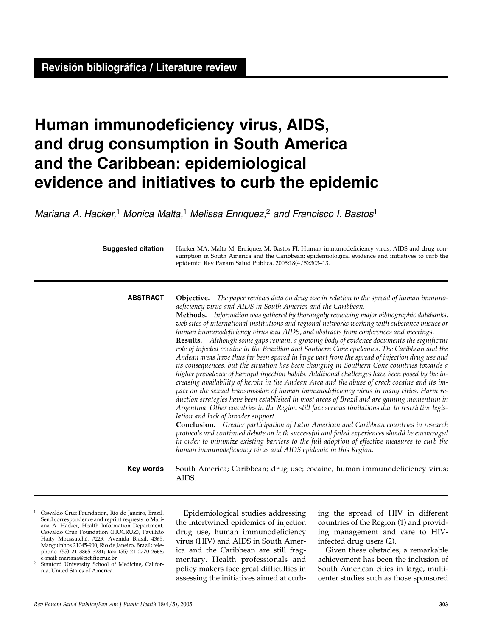# **Human immunodeficiency virus, AIDS, and drug consumption in South America and the Caribbean: epidemiological evidence and initiatives to curb the epidemic**

Mariana A. Hacker,<sup>1</sup> Monica Malta,<sup>1</sup> Melissa Enriquez,<sup>2</sup> and Francisco I. Bastos<sup>1</sup>

| <b>Suggested citation</b> | Hacker MA, Malta M, Enriquez M, Bastos FI. Human immunodeficiency virus, AIDS and drug con-<br>sumption in South America and the Caribbean: epidemiological evidence and initiatives to curb the<br>epidemic. Rev Panam Salud Publica. 2005;18(4/5):303-13.                                                                                                                                                                                                                                                                                                                                                                                                                                                                                                                                                                                                                                                                                                                                                                                                                                                                                                                                                                                                                                                                                                                                                                                                                                                                                                                                                                                                                                                                                                         |  |
|---------------------------|---------------------------------------------------------------------------------------------------------------------------------------------------------------------------------------------------------------------------------------------------------------------------------------------------------------------------------------------------------------------------------------------------------------------------------------------------------------------------------------------------------------------------------------------------------------------------------------------------------------------------------------------------------------------------------------------------------------------------------------------------------------------------------------------------------------------------------------------------------------------------------------------------------------------------------------------------------------------------------------------------------------------------------------------------------------------------------------------------------------------------------------------------------------------------------------------------------------------------------------------------------------------------------------------------------------------------------------------------------------------------------------------------------------------------------------------------------------------------------------------------------------------------------------------------------------------------------------------------------------------------------------------------------------------------------------------------------------------------------------------------------------------|--|
| <b>ABSTRACT</b>           | <b>Objective.</b> The paper reviews data on drug use in relation to the spread of human immuno-<br>deficiency virus and AIDS in South America and the Caribbean.<br>Methods. Information was gathered by thoroughly reviewing major bibliographic databanks,<br>web sites of international institutions and regional networks working with substance misuse or<br>human immunodeficiency virus and AIDS, and abstracts from conferences and meetings.<br>Results. Although some gaps remain, a growing body of evidence documents the significant<br>role of injected cocaine in the Brazilian and Southern Cone epidemics. The Caribbean and the<br>Andean areas have thus far been spared in large part from the spread of injection drug use and<br>its consequences, but the situation has been changing in Southern Cone countries towards a<br>higher prevalence of harmful injection habits. Additional challenges have been posed by the in-<br>creasing availability of heroin in the Andean Area and the abuse of crack cocaine and its im-<br>pact on the sexual transmission of human immunodeficiency virus in many cities. Harm re-<br>duction strategies have been established in most areas of Brazil and are gaining momentum in<br>Argentina. Other countries in the Region still face serious limitations due to restrictive legis-<br>lation and lack of broader support.<br><b>Conclusion.</b> Greater participation of Latin American and Caribbean countries in research<br>protocols and continued debate on both successful and failed experiences should be encouraged<br>in order to minimize existing barriers to the full adoption of effective measures to curb the<br>human immunodeficiency virus and AIDS epidemic in this Region. |  |
| Key words                 | South America; Caribbean; drug use; cocaine, human immunodeficiency virus;<br>AIDS.                                                                                                                                                                                                                                                                                                                                                                                                                                                                                                                                                                                                                                                                                                                                                                                                                                                                                                                                                                                                                                                                                                                                                                                                                                                                                                                                                                                                                                                                                                                                                                                                                                                                                 |  |

- <sup>1</sup> Oswaldo Cruz Foundation, Rio de Janeiro, Brazil. Send correspondence and reprint requests to Mariana A. Hacker, Health Information Department, Oswaldo Cruz Foundation (FIOCRUZ), Pavilhão Haity Moussatché, #229, Avenida Brasil, 4365, Manguinhos 21045-900, Rio de Janeiro, Brazil; telephone: (55) 21 3865 3231; fax: (55) 21 2270 2668;<br>e-mail: mariana@cict.fiocruz.br
- Stanford University School of Medicine, California, United States of America.

Epidemiological studies addressing the intertwined epidemics of injection drug use, human immunodeficiency virus (HIV) and AIDS in South America and the Caribbean are still fragmentary. Health professionals and policy makers face great difficulties in assessing the initiatives aimed at curbing the spread of HIV in different countries of the Region (1) and providing management and care to HIVinfected drug users (2).

Given these obstacles, a remarkable achievement has been the inclusion of South American cities in large, multicenter studies such as those sponsored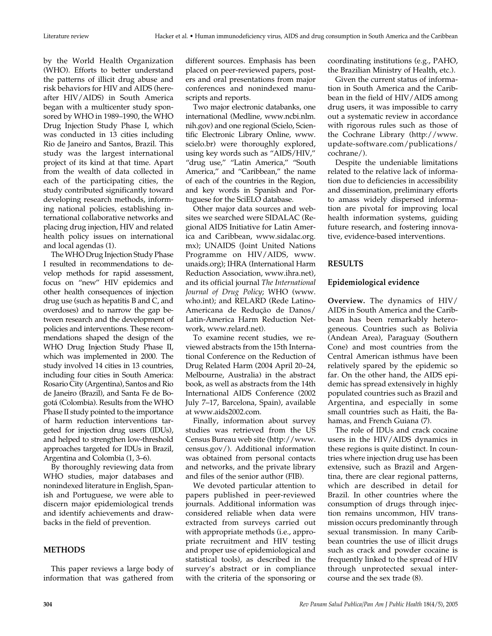by the World Health Organization (WHO). Efforts to better understand the patterns of illicit drug abuse and risk behaviors for HIV and AIDS (hereafter HIV/AIDS) in South America began with a multicenter study sponsored by WHO in 1989–1990, the WHO Drug Injection Study Phase I, which was conducted in 13 cities including Rio de Janeiro and Santos, Brazil. This study was the largest international project of its kind at that time. Apart from the wealth of data collected in each of the participating cities, the study contributed significantly toward developing research methods, informing national policies, establishing international collaborative networks and placing drug injection, HIV and related health policy issues on international and local agendas (1).

The WHO Drug Injection Study Phase I resulted in recommendations to develop methods for rapid assessment, focus on "new" HIV epidemics and other health consequences of injection drug use (such as hepatitis B and C, and overdoses) and to narrow the gap between research and the development of policies and interventions. These recommendations shaped the design of the WHO Drug Injection Study Phase II, which was implemented in 2000. The study involved 14 cities in 13 countries, including four cities in South America: Rosario City (Argentina), Santos and Rio de Janeiro (Brazil), and Santa Fe de Bogotá (Colombia). Results from the WHO Phase II study pointed to the importance of harm reduction interventions targeted for injection drug users (IDUs), and helped to strengthen low-threshold approaches targeted for IDUs in Brazil, Argentina and Colombia (1, 3–6).

By thoroughly reviewing data from WHO studies, major databases and nonindexed literature in English, Spanish and Portuguese, we were able to discern major epidemiological trends and identify achievements and drawbacks in the field of prevention.

# **METHODS**

This paper reviews a large body of information that was gathered from different sources. Emphasis has been placed on peer-reviewed papers, posters and oral presentations from major conferences and nonindexed manuscripts and reports.

Two major electronic databanks, one international (Medline, www.ncbi.nlm. nih.gov) and one regional (Scielo, Scientific Electronic Library Online, www. scielo.br) were thoroughly explored, using key words such as "AIDS/HIV," "drug use," "Latin America," "South America," and "Caribbean," the name of each of the countries in the Region, and key words in Spanish and Portuguese for the SciELO database.

Other major data sources and websites we searched were SIDALAC (Regional AIDS Initiative for Latin America and Caribbean, www.sidalac.org. mx); UNAIDS (Joint United Nations Programme on HIV/AIDS, www. unaids.org); IHRA (International Harm Reduction Association, www.ihra.net), and its official journal *The International Journal of Drug Policy*; WHO (www. who.int); and RELARD (Rede Latino-Americana de Redução de Danos/ Latin-America Harm Reduction Network, www.relard.net).

To examine recent studies, we reviewed abstracts from the 15th International Conference on the Reduction of Drug Related Harm (2004 April 20–24, Melbourne, Australia) in the abstract book, as well as abstracts from the 14th International AIDS Conference (2002 July 7–17, Barcelona, Spain), available at www.aids2002.com.

Finally, information about survey studies was retrieved from the US Census Bureau web site (http://www. census.gov/). Additional information was obtained from personal contacts and networks, and the private library and files of the senior author (FIB).

We devoted particular attention to papers published in peer-reviewed journals. Additional information was considered reliable when data were extracted from surveys carried out with appropriate methods (i.e., appropriate recruitment and HIV testing and proper use of epidemiological and statistical tools), as described in the survey's abstract or in compliance with the criteria of the sponsoring or

coordinating institutions (e.g., PAHO, the Brazilian Ministry of Health, etc.).

Given the current status of information in South America and the Caribbean in the field of HIV/AIDS among drug users, it was impossible to carry out a systematic review in accordance with rigorous rules such as those of the Cochrane Library (http://www. update-software.com/publications/ cochrane/).

Despite the undeniable limitations related to the relative lack of information due to deficiencies in accessibility and dissemination, preliminary efforts to amass widely dispersed information are pivotal for improving local health information systems, guiding future research, and fostering innovative, evidence-based interventions.

#### **RESULTS**

#### **Epidemiological evidence**

**Overview.** The dynamics of HIV/ AIDS in South America and the Caribbean has been remarkably heterogeneous. Countries such as Bolivia (Andean Area), Paraguay (Southern Cone) and most countries from the Central American isthmus have been relatively spared by the epidemic so far. On the other hand, the AIDS epidemic has spread extensively in highly populated countries such as Brazil and Argentina, and especially in some small countries such as Haiti, the Bahamas, and French Guiana (7).

The role of IDUs and crack cocaine users in the HIV/AIDS dynamics in these regions is quite distinct. In countries where injection drug use has been extensive, such as Brazil and Argentina, there are clear regional patterns, which are described in detail for Brazil. In other countries where the consumption of drugs through injection remains uncommon, HIV transmission occurs predominantly through sexual transmission. In many Caribbean countries the use of illicit drugs such as crack and powder cocaine is frequently linked to the spread of HIV through unprotected sexual intercourse and the sex trade (8).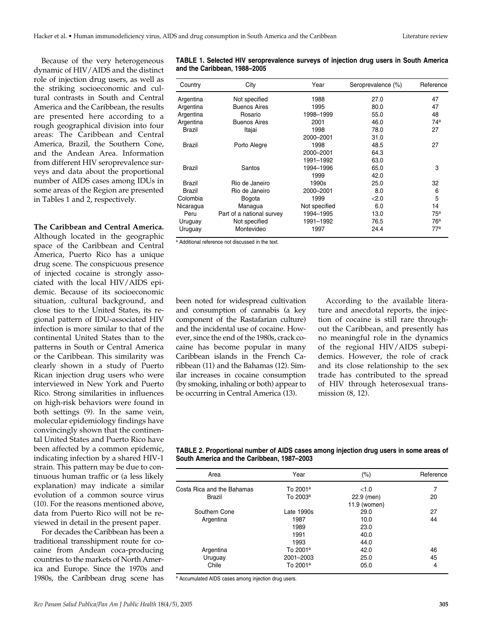Because of the very heterogeneous dynamic of HIV/AIDS and the distinct role of injection drug users, as well as the striking socioeconomic and cultural contrasts in South and Central America and the Caribbean, the results are presented here according to a rough geographical division into four areas: The Caribbean and Central America, Brazil, the Southern Cone, and the Andean Area. Information from different HIV seroprevalence surveys and data about the proportional number of AIDS cases among IDUs in some areas of the Region are presented in Tables 1 and 2, respectively.

#### **The Caribbean and Central America.**

Although located in the geographic space of the Caribbean and Central America, Puerto Rico has a unique drug scene. The conspicuous presence of injected cocaine is strongly associated with the local HIV/AIDS epidemic. Because of its socioeconomic situation, cultural background, and close ties to the United States, its regional pattern of IDU-associated HIV infection is more similar to that of the continental United States than to the patterns in South or Central America or the Caribbean. This similarity was clearly shown in a study of Puerto Rican injection drug users who were interviewed in New York and Puerto Rico. Strong similarities in influences on high-risk behaviors were found in both settings (9). In the same vein, molecular epidemiology findings have convincingly shown that the continental United States and Puerto Rico have been affected by a common epidemic, indicating infection by a shared HIV-1 strain. This pattern may be due to continuous human traffic or (a less likely explanation) may indicate a similar evolution of a common source virus (10). For the reasons mentioned above, data from Puerto Rico will not be reviewed in detail in the present paper.

For decades the Caribbean has been a traditional transshipment route for cocaine from Andean coca-producing countries to the markets of North America and Europe. Since the 1970s and 1980s, the Caribbean drug scene has

| Country       | City                      | Year          | Seroprevalence (%) | Reference       |
|---------------|---------------------------|---------------|--------------------|-----------------|
| Argentina     | Not specified             | 1988          | 27.0               | 47              |
| Argentina     | <b>Buenos Aires</b>       | 1995          | 80.0               | 47              |
| Argentina     | Rosario                   | 1998-1999     | 55.0               | 48              |
| Argentina     | <b>Buenos Aires</b>       | 2001          | 46.0               | 74 <sup>a</sup> |
| <b>Brazil</b> | Itajai                    | 1998          | 78.0               | 27              |
|               |                           | 2000-2001     | 31.0               |                 |
| Brazil        | Porto Alegre              | 1998          | 48.5               | 27              |
|               |                           | 2000-2001     | 64.3               |                 |
|               |                           | 1991-1992     | 63.0               |                 |
| <b>Brazil</b> | Santos                    | 1994-1996     | 65.0               | 3               |
|               |                           | 1999          | 42.0               |                 |
| Brazil        | Rio de Janeiro            | 1990s         | 25.0               | 32              |
| Brazil        | Rio de Janeiro            | 2000-2001     | 8.0                | 6               |
| Colombia      | Bogota                    | 1999          | < 2.0              | 5               |
| Nicaragua     | Managua                   | Not specified | 6.0                | 14              |
| Peru          | Part of a national survey | 1994-1995     | 13.0               | 75 <sup>a</sup> |
| Uruguay       | Not specified             | 1991–1992     | 76.5               | 76 <sup>a</sup> |
| Uruguay       | Montevideo                | 1997          | 24.4               | 77 <sup>a</sup> |

**TABLE 1. Selected HIV seroprevalence surveys of injection drug users in South America and the Caribbean, 1988–2005**

a Additional reference not discussed in the text.

been noted for widespread cultivation and consumption of cannabis (a key component of the Rastafarian culture) and the incidental use of cocaine. However, since the end of the 1980s, crack cocaine has become popular in many Caribbean islands in the French Caribbean (11) and the Bahamas (12). Similar increases in cocaine consumption (by smoking, inhaling or both) appear to be occurring in Central America (13).

According to the available literature and anecdotal reports, the injection of cocaine is still rare throughout the Caribbean, and presently has no meaningful role in the dynamics of the regional HIV/AIDS subepidemics. However, the role of crack and its close relationship to the sex trade has contributed to the spread of HIV through heterosexual transmission (8, 12).

**TABLE 2. Proportional number of AIDS cases among injection drug users in some areas of South America and the Caribbean, 1987–2003**

| Area                       | Year                 | $(\% )$      | Reference |
|----------------------------|----------------------|--------------|-----------|
| Costa Rica and the Bahamas | To 2001 <sup>a</sup> | < 1.0        | 7         |
| Brazil                     | To 2003 <sup>a</sup> | 22.9 (men)   | 20        |
|                            |                      | 11.9 (women) |           |
| Southern Cone              | Late 1990s           | 29.0         | 27        |
| Argentina                  | 1987                 | 10.0         | 44        |
|                            | 1989                 | 23.0         |           |
|                            | 1991                 | 40.0         |           |
|                            | 1993                 | 44.0         |           |
| Argentina                  | To 2001 <sup>a</sup> | 42.0         | 46        |
| Uruguay                    | 2001-2003            | 25.0         | 45        |
| Chile                      | To 2001 <sup>a</sup> | 05.0         | 4         |

a Accumulated AIDS cases among injection drug users.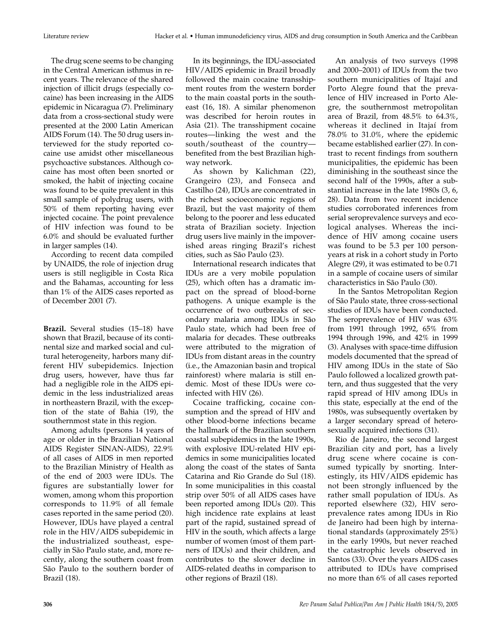The drug scene seems to be changing in the Central American isthmus in recent years. The relevance of the shared injection of illicit drugs (especially cocaine) has been increasing in the AIDS epidemic in Nicaragua (7). Preliminary data from a cross-sectional study were presented at the 2000 Latin American AIDS Forum (14). The 50 drug users interviewed for the study reported cocaine use amidst other miscellaneous psychoactive substances. Although cocaine has most often been snorted or smoked, the habit of injecting cocaine was found to be quite prevalent in this small sample of polydrug users, with 50% of them reporting having ever injected cocaine. The point prevalence of HIV infection was found to be 6.0% and should be evaluated further in larger samples (14).

According to recent data compiled by UNAIDS, the role of injection drug users is still negligible in Costa Rica and the Bahamas, accounting for less than 1% of the AIDS cases reported as of December 2001 (7).

**Brazil.** Several studies (15–18) have shown that Brazil, because of its continental size and marked social and cultural heterogeneity, harbors many different HIV subepidemics. Injection drug users, however, have thus far had a negligible role in the AIDS epidemic in the less industrialized areas in northeastern Brazil, with the exception of the state of Bahia (19), the southernmost state in this region.

Among adults (persons 14 years of age or older in the Brazilian National AIDS Register SINAN-AIDS), 22.9% of all cases of AIDS in men reported to the Brazilian Ministry of Health as of the end of 2003 were IDUs. The figures are substantially lower for women, among whom this proportion corresponds to 11.9% of all female cases reported in the same period (20). However, IDUs have played a central role in the HIV/AIDS subepidemic in the industrialized southeast, especially in São Paulo state, and, more recently, along the southern coast from São Paulo to the southern border of Brazil (18).

In its beginnings, the IDU-associated HIV/AIDS epidemic in Brazil broadly followed the main cocaine transshipment routes from the western border to the main coastal ports in the southeast (16, 18). A similar phenomenon was described for heroin routes in Asia (21). The transshipment cocaine routes—linking the west and the south/southeast of the country benefited from the best Brazilian highway network.

As shown by Kalichman (22), Grangeiro (23), and Fonseca and Castilho (24), IDUs are concentrated in the richest socioeconomic regions of Brazil, but the vast majority of them belong to the poorer and less educated strata of Brazilian society. Injection drug users live mainly in the impoverished areas ringing Brazil's richest cities, such as São Paulo (23).

International research indicates that IDUs are a very mobile population (25), which often has a dramatic impact on the spread of blood-borne pathogens. A unique example is the occurrence of two outbreaks of secondary malaria among IDUs in São Paulo state, which had been free of malaria for decades. These outbreaks were attributed to the migration of IDUs from distant areas in the country (i.e., the Amazonian basin and tropical rainforest) where malaria is still endemic. Most of these IDUs were coinfected with HIV (26).

Cocaine trafficking, cocaine consumption and the spread of HIV and other blood-borne infections became the hallmark of the Brazilian southern coastal subepidemics in the late 1990s, with explosive IDU-related HIV epidemics in some municipalities located along the coast of the states of Santa Catarina and Rio Grande do Sul (18). In some municipalities in this coastal strip over 50% of all AIDS cases have been reported among IDUs (20). This high incidence rate explains at least part of the rapid, sustained spread of HIV in the south, which affects a large number of women (most of them partners of IDUs) and their children, and contributes to the slower decline in AIDS-related deaths in comparison to other regions of Brazil (18).

An analysis of two surveys (1998 and 2000–2001) of IDUs from the two southern municipalities of Itajaí and Porto Alegre found that the prevalence of HIV increased in Porto Alegre, the southernmost metropolitan area of Brazil, from 48.5% to 64.3%, whereas it declined in Itajaí from 78.0% to 31.0%, where the epidemic became established earlier (27). In contrast to recent findings from southern municipalities, the epidemic has been diminishing in the southeast since the second half of the 1990s, after a substantial increase in the late 1980s (3, 6, 28). Data from two recent incidence studies corroborated inferences from serial seroprevalence surveys and ecological analyses. Whereas the incidence of HIV among cocaine users was found to be 5.3 per 100 personyears at risk in a cohort study in Porto Alegre (29), it was estimated to be 0.71 in a sample of cocaine users of similar characteristics in São Paulo (30).

In the Santos Metropolitan Region of São Paulo state, three cross-sectional studies of IDUs have been conducted. The seroprevalence of HIV was 63% from 1991 through 1992, 65% from 1994 through 1996, and 42% in 1999 (3). Analyses with space-time diffusion models documented that the spread of HIV among IDUs in the state of São Paulo followed a localized growth pattern, and thus suggested that the very rapid spread of HIV among IDUs in this state, especially at the end of the 1980s, was subsequently overtaken by a larger secondary spread of heterosexually acquired infections (31).

Rio de Janeiro, the second largest Brazilian city and port, has a lively drug scene where cocaine is consumed typically by snorting. Interestingly, its HIV/AIDS epidemic has not been strongly influenced by the rather small population of IDUs. As reported elsewhere (32), HIV seroprevalence rates among IDUs in Rio de Janeiro had been high by international standards (approximately 25%) in the early 1990s, but never reached the catastrophic levels observed in Santos (33). Over the years AIDS cases attributed to IDUs have comprised no more than 6% of all cases reported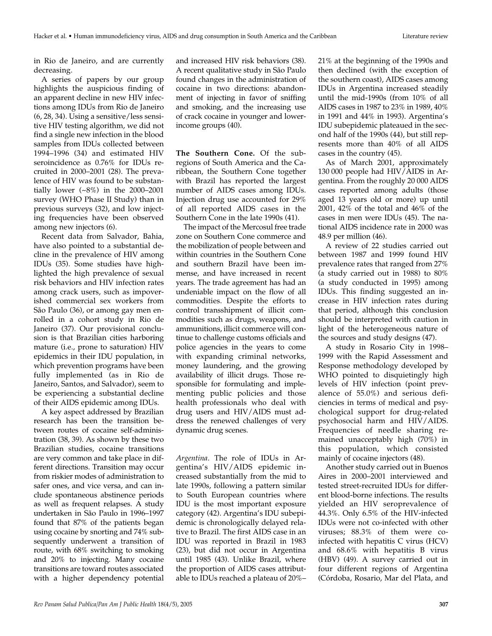in Rio de Janeiro, and are currently decreasing.

A series of papers by our group highlights the auspicious finding of an apparent decline in new HIV infections among IDUs from Rio de Janeiro (6, 28, 34). Using a sensitive/less sensitive HIV testing algorithm, we did not find a single new infection in the blood samples from IDUs collected between 1994–1996 (34) and estimated HIV seroincidence as 0.76% for IDUs recruited in 2000–2001 (28). The prevalence of HIV was found to be substantially lower (~8%) in the 2000–2001 survey (WHO Phase II Study) than in previous surveys (32), and low injecting frequencies have been observed among new injectors (6).

Recent data from Salvador, Bahia, have also pointed to a substantial decline in the prevalence of HIV among IDUs (35). Some studies have highlighted the high prevalence of sexual risk behaviors and HIV infection rates among crack users, such as impoverished commercial sex workers from São Paulo (36), or among gay men enrolled in a cohort study in Rio de Janeiro (37). Our provisional conclusion is that Brazilian cities harboring mature (i.e., prone to saturation) HIV epidemics in their IDU population, in which prevention programs have been fully implemented (as in Rio de Janeiro, Santos, and Salvador), seem to be experiencing a substantial decline of their AIDS epidemic among IDUs.

A key aspect addressed by Brazilian research has been the transition between routes of cocaine self-administration (38, 39). As shown by these two Brazilian studies, cocaine transitions are very common and take place in different directions. Transition may occur from riskier modes of administration to safer ones, and vice versa, and can include spontaneous abstinence periods as well as frequent relapses. A study undertaken in São Paulo in 1996–1997 found that 87% of the patients began using cocaine by snorting and 74% subsequently underwent a transition of route, with 68% switching to smoking and 20% to injecting. Many cocaine transitions are toward routes associated with a higher dependency potential

and increased HIV risk behaviors (38). A recent qualitative study in São Paulo found changes in the administration of cocaine in two directions: abandonment of injecting in favor of sniffing and smoking, and the increasing use of crack cocaine in younger and lowerincome groups (40).

**The Southern Cone.** Of the subregions of South America and the Caribbean, the Southern Cone together with Brazil has reported the largest number of AIDS cases among IDUs. Injection drug use accounted for 29% of all reported AIDS cases in the Southern Cone in the late 1990s (41).

The impact of the Mercosul free trade zone on Southern Cone commerce and the mobilization of people between and within countries in the Southern Cone and southern Brazil have been immense, and have increased in recent years. The trade agreement has had an undeniable impact on the flow of all commodities. Despite the efforts to control transshipment of illicit commodities such as drugs, weapons, and ammunitions, illicit commerce will continue to challenge customs officials and police agencies in the years to come with expanding criminal networks, money laundering, and the growing availability of illicit drugs. Those responsible for formulating and implementing public policies and those health professionals who deal with drug users and HIV/AIDS must address the renewed challenges of very dynamic drug scenes.

*Argentina.* The role of IDUs in Argentina's HIV/AIDS epidemic increased substantially from the mid to late 1990s, following a pattern similar to South European countries where IDU is the most important exposure category (42). Argentina's IDU subepidemic is chronologically delayed relative to Brazil. The first AIDS case in an IDU was reported in Brazil in 1983 (23), but did not occur in Argentina until 1985 (43). Unlike Brazil, where the proportion of AIDS cases attributable to IDUs reached a plateau of 20%–

21% at the beginning of the 1990s and then declined (with the exception of the southern coast), AIDS cases among IDUs in Argentina increased steadily until the mid-1990s (from 10% of all AIDS cases in 1987 to 23% in 1989, 40% in 1991 and 44% in 1993). Argentina's IDU subepidemic plateaued in the second half of the 1990s (44), but still represents more than 40% of all AIDS cases in the country (45).

As of March 2001, approximately 130 000 people had HIV/AIDS in Argentina. From the roughly 20 000 AIDS cases reported among adults (those aged 13 years old or more) up until 2001, 42% of the total and 46% of the cases in men were IDUs (45). The national AIDS incidence rate in 2000 was 48.9 per million (46).

A review of 22 studies carried out between 1987 and 1999 found HIV prevalence rates that ranged from 27% (a study carried out in 1988) to 80% (a study conducted in 1995) among IDUs. This finding suggested an increase in HIV infection rates during that period, although this conclusion should be interpreted with caution in light of the heterogeneous nature of the sources and study designs (47).

A study in Rosario City in 1998– 1999 with the Rapid Assessment and Response methodology developed by WHO pointed to disquietingly high levels of HIV infection (point prevalence of 55.0%) and serious deficiencies in terms of medical and psychological support for drug-related psychosocial harm and HIV/AIDS. Frequencies of needle sharing remained unacceptably high (70%) in this population, which consisted mainly of cocaine injectors (48).

Another study carried out in Buenos Aires in 2000–2001 interviewed and tested street-recruited IDUs for different blood-borne infections. The results yielded an HIV seroprevalence of 44.3%. Only 6.5% of the HIV-infected IDUs were not co-infected with other viruses; 88.3% of them were coinfected with hepatitis C virus (HCV) and 68.6% with hepatitis B virus (HBV) (49). A survey carried out in four different regions of Argentina (Córdoba, Rosario, Mar del Plata, and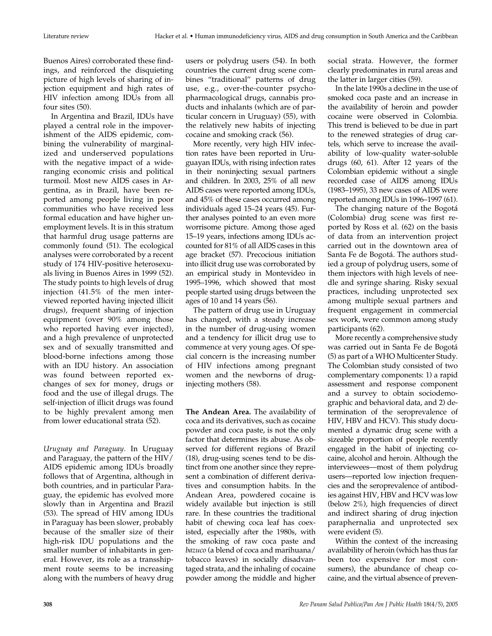Buenos Aires) corroborated these findings, and reinforced the disquieting picture of high levels of sharing of injection equipment and high rates of HIV infection among IDUs from all four sites (50).

In Argentina and Brazil, IDUs have played a central role in the impoverishment of the AIDS epidemic, combining the vulnerability of marginalized and underserved populations with the negative impact of a wideranging economic crisis and political turmoil. Most new AIDS cases in Argentina, as in Brazil, have been reported among people living in poor communities who have received less formal education and have higher unemployment levels. It is in this stratum that harmful drug usage patterns are commonly found (51). The ecological analyses were corroborated by a recent study of 174 HIV-positive heterosexuals living in Buenos Aires in 1999 (52). The study points to high levels of drug injection (41.5% of the men interviewed reported having injected illicit drugs), frequent sharing of injection equipment (over 90% among those who reported having ever injected), and a high prevalence of unprotected sex and of sexually transmitted and blood-borne infections among those with an IDU history. An association was found between reported exchanges of sex for money, drugs or food and the use of illegal drugs. The self-injection of illicit drugs was found to be highly prevalent among men from lower educational strata (52).

*Uruguay and Paraguay.* In Uruguay and Paraguay, the pattern of the HIV/ AIDS epidemic among IDUs broadly follows that of Argentina, although in both countries, and in particular Paraguay, the epidemic has evolved more slowly than in Argentina and Brazil (53). The spread of HIV among IDUs in Paraguay has been slower, probably because of the smaller size of their high-risk IDU populations and the smaller number of inhabitants in general. However, its role as a transshipment route seems to be increasing along with the numbers of heavy drug

users or polydrug users (54). In both countries the current drug scene combines "traditional" patterns of drug use, e.g., over-the-counter psychopharmacological drugs, cannabis products and inhalants (which are of particular concern in Uruguay) (55), with the relatively new habits of injecting cocaine and smoking crack (56).

More recently, very high HIV infection rates have been reported in Uruguayan IDUs, with rising infection rates in their noninjecting sexual partners and children. In 2003, 25% of all new AIDS cases were reported among IDUs, and 45% of these cases occurred among individuals aged 15–24 years (45). Further analyses pointed to an even more worrisome picture. Among those aged 15–19 years, infections among IDUs accounted for 81% of all AIDS cases in this age bracket (57). Precocious initiation into illicit drug use was corroborated by an empirical study in Montevideo in 1995–1996, which showed that most people started using drugs between the ages of 10 and 14 years (56).

The pattern of drug use in Uruguay has changed, with a steady increase in the number of drug-using women and a tendency for illicit drug use to commence at very young ages. Of special concern is the increasing number of HIV infections among pregnant women and the newborns of druginjecting mothers (58).

**The Andean Area.** The availability of coca and its derivatives, such as cocaine powder and coca paste, is not the only factor that determines its abuse. As observed for different regions of Brazil (18), drug-using scenes tend to be distinct from one another since they represent a combination of different derivatives and consumption habits. In the Andean Area, powdered cocaine is widely available but injection is still rare. In these countries the traditional habit of chewing coca leaf has coexisted, especially after the 1980s, with the smoking of raw coca paste and *bazuco* (a blend of coca and marihuana/ tobacco leaves) in socially disadvantaged strata, and the inhaling of cocaine powder among the middle and higher

social strata. However, the former clearly predominates in rural areas and the latter in larger cities (59).

In the late 1990s a decline in the use of smoked coca paste and an increase in the availability of heroin and powder cocaine were observed in Colombia. This trend is believed to be due in part to the renewed strategies of drug cartels, which serve to increase the availability of low-quality water-soluble drugs (60, 61). After 12 years of the Colombian epidemic without a single recorded case of AIDS among IDUs (1983–1995), 33 new cases of AIDS were reported among IDUs in 1996–1997 (61).

The changing nature of the Bogotá (Colombia) drug scene was first reported by Ross et al. (62) on the basis of data from an intervention project carried out in the downtown area of Santa Fe de Bogotá. The authors studied a group of polydrug users, some of them injectors with high levels of needle and syringe sharing. Risky sexual practices, including unprotected sex among multiple sexual partners and frequent engagement in commercial sex work, were common among study participants (62).

More recently a comprehensive study was carried out in Santa Fe de Bogotá (5) as part of a WHO Multicenter Study. The Colombian study consisted of two complementary components: 1) a rapid assessment and response component and a survey to obtain sociodemographic and behavioral data, and 2) determination of the seroprevalence of HIV, HBV and HCV). This study documented a dynamic drug scene with a sizeable proportion of people recently engaged in the habit of injecting cocaine, alcohol and heroin. Although the interviewees—most of them polydrug users—reported low injection frequencies and the seroprevalence of antibodies against HIV, HBV and HCV was low (below 2%), high frequencies of direct and indirect sharing of drug injection paraphernalia and unprotected sex were evident (5).

Within the context of the increasing availability of heroin (which has thus far been too expensive for most consumers), the abundance of cheap cocaine, and the virtual absence of preven-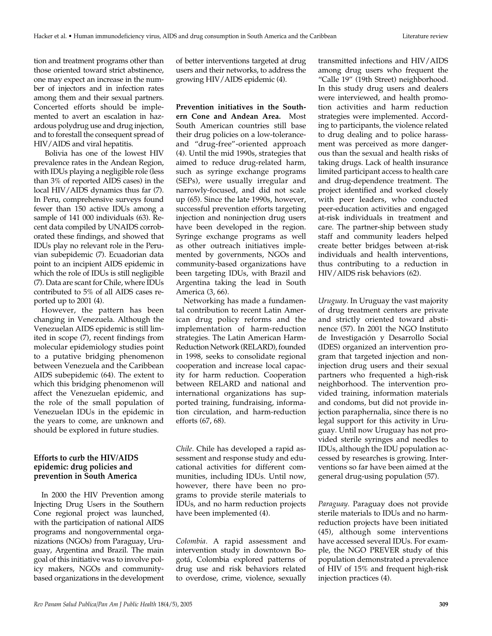tion and treatment programs other than those oriented toward strict abstinence, one may expect an increase in the number of injectors and in infection rates among them and their sexual partners. Concerted efforts should be implemented to avert an escalation in hazardous polydrug use and drug injection, and to forestall the consequent spread of HIV/AIDS and viral hepatitis.

Bolivia has one of the lowest HIV prevalence rates in the Andean Region, with IDUs playing a negligible role (less than 3% of reported AIDS cases) in the local HIV/AIDS dynamics thus far (7). In Peru, comprehensive surveys found fewer than 150 active IDUs among a sample of 141 000 individuals (63). Recent data compiled by UNAIDS corroborated these findings, and showed that IDUs play no relevant role in the Peruvian subepidemic (7). Ecuadorian data point to an incipient AIDS epidemic in which the role of IDUs is still negligible (7). Data are scant for Chile, where IDUs contributed to 5% of all AIDS cases reported up to 2001 (4).

However, the pattern has been changing in Venezuela. Although the Venezuelan AIDS epidemic is still limited in scope (7), recent findings from molecular epidemiology studies point to a putative bridging phenomenon between Venezuela and the Caribbean AIDS subepidemic (64). The extent to which this bridging phenomenon will affect the Venezuelan epidemic, and the role of the small population of Venezuelan IDUs in the epidemic in the years to come, are unknown and should be explored in future studies.

# **Efforts to curb the HIV/AIDS epidemic: drug policies and prevention in South America**

In 2000 the HIV Prevention among Injecting Drug Users in the Southern Cone regional project was launched, with the participation of national AIDS programs and nongovernmental organizations (NGOs) from Paraguay, Uruguay, Argentina and Brazil. The main goal of this initiative was to involve policy makers, NGOs and communitybased organizations in the development

of better interventions targeted at drug users and their networks, to address the growing HIV/AIDS epidemic (4).

**Prevention initiatives in the Southern Cone and Andean Area.** Most South American countries still base their drug policies on a low-toleranceand "drug-free"-oriented approach (4). Until the mid 1990s, strategies that aimed to reduce drug-related harm, such as syringe exchange programs (SEPs), were usually irregular and narrowly-focused, and did not scale up (65). Since the late 1990s, however, successful prevention efforts targeting injection and noninjection drug users have been developed in the region. Syringe exchange programs as well as other outreach initiatives implemented by governments, NGOs and community-based organizations have been targeting IDUs, with Brazil and Argentina taking the lead in South America (3, 66).

Networking has made a fundamental contribution to recent Latin American drug policy reforms and the implementation of harm-reduction strategies. The Latin American Harm-Reduction Network (RELARD), founded in 1998, seeks to consolidate regional cooperation and increase local capacity for harm reduction. Cooperation between RELARD and national and international organizations has supported training, fundraising, information circulation, and harm-reduction efforts (67, 68).

*Chile.* Chile has developed a rapid assessment and response study and educational activities for different communities, including IDUs. Until now, however, there have been no programs to provide sterile materials to IDUs, and no harm reduction projects have been implemented (4).

*Colombia.* A rapid assessment and intervention study in downtown Bogotá, Colombia explored patterns of drug use and risk behaviors related to overdose, crime, violence, sexually transmitted infections and HIV/AIDS among drug users who frequent the "Calle 19" (19th Street) neighborhood. In this study drug users and dealers were interviewed, and health promotion activities and harm reduction strategies were implemented. According to participants, the violence related to drug dealing and to police harassment was perceived as more dangerous than the sexual and health risks of taking drugs. Lack of health insurance limited participant access to health care and drug-dependence treatment. The project identified and worked closely with peer leaders, who conducted peer-education activities and engaged at-risk individuals in treatment and care. The partner-ship between study staff and community leaders helped create better bridges between at-risk individuals and health interventions, thus contributing to a reduction in HIV/AIDS risk behaviors (62).

*Uruguay.* In Uruguay the vast majority of drug treatment centers are private and strictly oriented toward abstinence (57). In 2001 the NGO Instituto de Investigación y Desarrollo Social (IDES) organized an intervention program that targeted injection and noninjection drug users and their sexual partners who frequented a high-risk neighborhood. The intervention provided training, information materials and condoms, but did not provide injection paraphernalia, since there is no legal support for this activity in Uruguay. Until now Uruguay has not provided sterile syringes and needles to IDUs, although the IDU population accessed by researches is growing. Interventions so far have been aimed at the general drug-using population (57).

*Paraguay.* Paraguay does not provide sterile materials to IDUs and no harmreduction projects have been initiated (45), although some interventions have accessed several IDUs. For example, the NGO PREVER study of this population demonstrated a prevalence of HIV of 15% and frequent high-risk injection practices (4).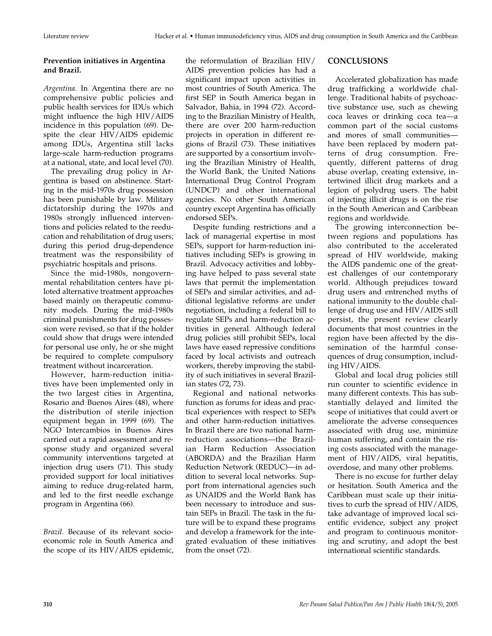# **Prevention initiatives in Argentina and Brazil.**

*Argentina.* In Argentina there are no comprehensive public policies and public health services for IDUs which might influence the high HIV/AIDS incidence in this population (69). Despite the clear HIV/AIDS epidemic among IDUs, Argentina still lacks large-scale harm-reduction programs at a national, state, and local level (70).

The prevailing drug policy in Argentina is based on abstinence. Starting in the mid-1970s drug possession has been punishable by law. Military dictatorship during the 1970s and 1980s strongly influenced interventions and policies related to the reeducation and rehabilitation of drug users; during this period drug-dependence treatment was the responsibility of psychiatric hospitals and prisons.

Since the mid-1980s, nongovernmental rehabilitation centers have piloted alternative treatment approaches based mainly on therapeutic community models. During the mid-1980s criminal punishments for drug possession were revised, so that if the holder could show that drugs were intended for personal use only, he or she might be required to complete compulsory treatment without incarceration.

However, harm-reduction initiatives have been implemented only in the two largest cities in Argentina, Rosario and Buenos Aires (48), where the distribution of sterile injection equipment began in 1999 (69). The NGO Intercambios in Buenos Aires carried out a rapid assessment and response study and organized several community interventions targeted at injection drug users (71). This study provided support for local initiatives aiming to reduce drug-related harm, and led to the first needle exchange program in Argentina (66).

*Brazil.* Because of its relevant socioeconomic role in South America and the scope of its HIV/AIDS epidemic,

the reformulation of Brazilian HIV/ AIDS prevention policies has had a significant impact upon activities in most countries of South America. The first SEP in South America began in Salvador, Bahia, in 1994 (72). According to the Brazilian Ministry of Health, there are over 200 harm-reduction projects in operation in different regions of Brazil (73). These initiatives are supported by a consortium involving the Brazilian Ministry of Health, the World Bank, the United Nations International Drug Control Program (UNDCP) and other international agencies. No other South American country except Argentina has officially endorsed SEPs.

Despite funding restrictions and a lack of managerial expertise in most SEPs, support for harm-reduction initiatives including SEPs is growing in Brazil. Advocacy activities and lobbying have helped to pass several state laws that permit the implementation of SEPs and similar activities, and additional legislative reforms are under negotiation, including a federal bill to regulate SEPs and harm-reduction activities in general. Although federal drug policies still prohibit SEPs, local laws have eased repressive conditions faced by local activists and outreach workers, thereby improving the stability of such initiatives in several Brazilian states (72, 73).

Regional and national networks function as forums for ideas and practical experiences with respect to SEPs and other harm-reduction initiatives. In Brazil there are two national harmreduction associations—the Brazilian Harm Reduction Association (ABORDA) and the Brazilian Harm Reduction Network (REDUC)—in addition to several local networks. Support from international agencies such as UNAIDS and the World Bank has been necessary to introduce and sustain SEPs in Brazil. The task in the future will be to expand these programs and develop a framework for the integrated evaluation of these initiatives from the onset (72).

# **CONCLUSIONS**

Accelerated globalization has made drug trafficking a worldwide challenge. Traditional habits of psychoactive substance use, such as chewing coca leaves or drinking coca tea—a common part of the social customs and mores of small communities have been replaced by modern patterns of drug consumption. Frequently, different patterns of drug abuse overlap, creating extensive, intertwined illicit drug markets and a legion of polydrug users. The habit of injecting illicit drugs is on the rise in the South American and Caribbean regions and worldwide.

The growing interconnection between regions and populations has also contributed to the accelerated spread of HIV worldwide, making the AIDS pandemic one of the greatest challenges of our contemporary world. Although prejudices toward drug users and entrenched myths of national immunity to the double challenge of drug use and HIV/AIDS still persist, the present review clearly documents that most countries in the region have been affected by the dissemination of the harmful consequences of drug consumption, including HIV/AIDS.

Global and local drug policies still run counter to scientific evidence in many different contexts. This has substantially delayed and limited the scope of initiatives that could avert or ameliorate the adverse consequences associated with drug use, minimize human suffering, and contain the rising costs associated with the management of HIV/AIDS, viral hepatitis, overdose, and many other problems.

There is no excuse for further delay or hesitation. South America and the Caribbean must scale up their initiatives to curb the spread of HIV/AIDS, take advantage of improved local scientific evidence, subject any project and program to continuous monitoring and scrutiny, and adopt the best international scientific standards.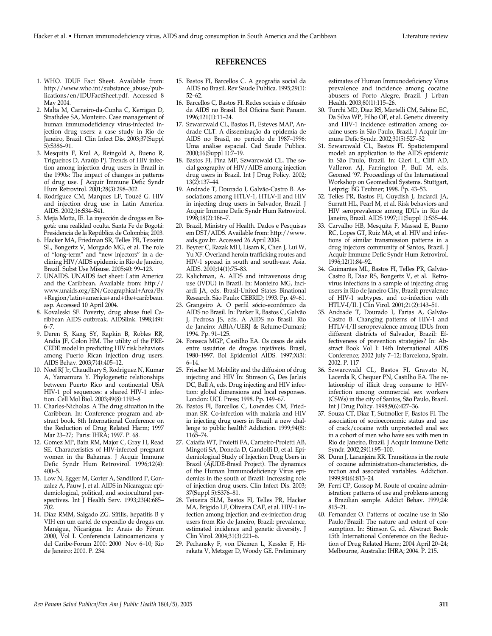#### 1. WHO. IDUF Fact Sheet. Available from: http://www.who.int/substance\_abuse/publications/en/IDUFactSheet.pdf. Accessed 8 May 2004.

- 2. Malta M, Carneiro-da-Cunha C, Kerrigan D, Strathdee SA, Monteiro. Case management of human immunodeficiency virus-infected injection drug users: a case study in Rio de Janeiro, Brazil. Clin Infect Dis. 2003;37(Suppl 5):S386–91.
- 3. Mesquita F, Kral A, Reingold A, Bueno R, Trigueiros D, Araújo PJ. Trends of HIV infection among injection drug users in Brazil in the 1990s: The impact of changes in patterns of drug use. J Acquir Immune Defic Syndr Hum Retrovirol. 2001;28(3):298–302.
- 4. Rodríguez CM, Marques LF, Touzé G. HIV and injection drug use in Latin America. AIDS. 2002;16:S34–S41.
- 5. Mejía Motta, IE. La inyección de drogas en Bogotá: una realidad oculta. Santa Fe de Bogotá: Presidencia de la República de Colombia; 2003.
- 6. Hacker MA, Friedman SR, Telles PR, Teixeira SL, Bongertz V, Morgado MG, et al. The role of "long-term" and "new injectors" in a declining HIV/AIDS epidemic in Rio de Janeiro, Brazil. Subst Use Misuse. 2005;40: 99–123.
- 7. UNAIDS. UNAIDS fact sheet: Latin America and the Caribbean. Available from: http:// www.unaids.org/EN/Geographical+Area/By +Region/latin+america+and+the+caribbean. asp. Accessed 10 April 2004.
- 8. Kovaleski SF. Poverty, drug abuse fuel Caribbean AIDS outbreak. AIDSlink. 1998;(49): 6–7.
- 9. Deren S, Kang SY, Rapkin B, Robles RR, Andia JF, Colon HM. The utility of the PRE-CEDE model in predicting HIV risk behaviors among Puerto Rican injection drug users. AIDS Behav. 2003;7(4):405–12.
- 10. Noel RJ Jr, Chaudhary S, Rodriguez N, Kumar A, Yamamura Y. Phylogenetic relationships between Puerto Rico and continental USA HIV-1 pol sequences: a shared HIV-1 infection. Cell Mol Biol. 2003;49(8):1193–8
- 11. Charles-Nicholas. A The drug situation in the Caribbean. In: Conference program and abstract book. 8th International Conference on the Reduction of Drug Related Harm; 1997 Mar 23–27; Paris: IHRA; 1997. P. 68.
- 12. Gomez MP, Bain RM, Major C, Gray H, Read SE. Characteristics of HIV-infected pregnant women in the Bahamas. J Acquir Immune Defic Syndr Hum Retrovirol. 1996;12(4): 400–5.
- 13. Low N, Egger M, Gorter A, Sandiford P, Gonzalez A, Pauw J, et al. AIDS in Nicaragua: epidemiological, political, and sociocultural perspectives. Int J Health Serv. 1993;23(4):685– 702.
- 14. Díaz RMM, Salgado ZG. Sífilis, hepatitis B y VIH em um cartel de expendio de drogas em Manágua, Nicarágua. In: Anais do Fórum 2000, Vol I. Conferencia Latinoamericana y del Caribe-Forum 2000: 2000 Nov 6–10; Rio de Janeiro; 2000. P. 234.

## **REFERENCES**

- 15. Bastos FI, Barcellos C. A geografia social da AIDS no Brasil. Rev Saude Publica. 1995;29(1): 52–62.
- 16. Barcellos C, Bastos FI. Redes sociais e difusão da AIDS no Brasil. Bol Oficina Sanit Panam. 1996;121(1):11–24.
- 17. Szwarcwald CL, Bastos FI, Esteves MAP, Andrade CLT. A disseminação da epidemia de AIDS no Brasil, no período de 1987–1996: Uma análise espacial. Cad Saude Publica. 2000;16(Suppl 1):7–19.
- 18. Bastos FI, Pina MF, Szwarcwald CL. The social geography of HIV/AIDS among injection drug users in Brazil. Int J Drug Policy. 2002; 13(2):137–44.
- 19. Andrade T, Dourado I, Galvão-Castro B. Associations among HTLV-1, HTLV-II and HIV in injecting drug users in Salvador, Brazil. J Acquir Immune Defic Syndr Hum Retrovirol. 1998;18(2):186–7.
- 20. Brazil, Ministry of Health. Dados e Pesquisas em DST/AIDS. Available from: http://www. aids.gov.br. Accessed 26 April 2004.
- 21. Beyrer C, Razak MH, Lisam K, Chen J, Lui W, Yu XF. Overland heroin trafficking routes and HIV-1 spread in south and south-east Asia. AIDS. 2000;14(1):75–83.
- 22. Kalichman, A. AIDS and intravenous drug use (IVDU) in Brazil. In: Monteiro MG, Inciardi JA, eds. Brasil-United States Binational Research. São Paulo: CEBRID; 1993. Pp. 49–61.
- 23. Grangeiro A. O perfil sócio-econômico da AIDS no Brasil. In: Parker R, Bastos C, Galvão J, Pedrosa JS, eds. A AIDS no Brasil. Rio de Janeiro: ABIA/UERJ & Relume-Dumará; 1994. Pp. 91–125.
- 24. Fonseca MGP, Castilho EA. Os casos de aids entre usuários de drogas injetáveis. Brasil, 1980–1997. Bol Epidemiol AIDS. 1997;X(3): 6–14.
- 25. Frischer M. Mobility and the diffusion of drug injecting and HIV In: Stimson G, Des Jarlais DC, Ball A, eds. Drug injecting and HIV infection: global dimensions and local responses. London: UCL Press; 1998. Pp. 149–67.
- 26. Bastos FI, Barcellos C, Lowndes CM, Friedman SR. Co-infection with malaria and HIV in injecting drug users in Brazil: a new challenge to public health? Addiction. 1999;94(8): 1165–74.
- 27. Caiaffa WT, Proietti FA, Carneiro-Proietti AB, Mingoti SA, Doneda D, Gandolfi D, et al. Epidemiological Study of Injection Drug Users in Brazil (AjUDE-Brasil Project). The dynamics of the Human Immunodeficiency Virus epidemics in the south of Brazil: Increasing role of injection drug users. Clin Infect Dis. 2003; 37(Suppl 5):S376–81.
- 28. Teixeira SLM, Bastos FI, Telles PR, Hacker MA, Brigido LF, Oliveira CAF, et al. HIV-1 infection among injection and ex-injection drug users from Rio de Janeiro, Brazil: prevalence, estimated incidence and genetic diversity. J Clin Virol. 2004;31(3):221–6.
- 29. Pechansky F, von Diemen L, Kessler F, Hirakata V, Metzger D, Woody GE. Preliminary

estimates of Human Immunodeficiency Virus prevalence and incidence among cocaine abusers of Porto Alegre, Brazil. J Urban Health. 2003;80(1):115–26.

- 30. Turchi MD, Diaz RS, Martelli CM, Sabino EC, Da Silva WP, Filho OF, et al. Genetic diversity and HIV-1 incidence estimation among cocaine users in Sâo Paulo, Brazil. J Acquir Immune Defic Syndr. 2002;30(5):527–32
- 31. Szwarcwald CL, Bastos FI. Spatiotemporal model: an application to the AIDS epidemic in São Paulo, Brazil. In: Gierl L, Cliff AD, Valleron AJ, Farrington P, Bull M, eds. Geomed '97. Proceedings of the International Workshop on Geomedical Systems. Stuttgart, Leipzig: BG Teubner; 1998. Pp. 43-53.
- 32. Telles PR, Bastos FI, Guydish J, Inciardi JA, Surratt HL, Pearl M, et al. Risk behaviors and HIV seroprevalence among IDUs in Rio de Janeiro, Brazil. AIDS 1997;11(Suppl 1):S35-44.
- 33. Carvalho HB, Mesquita F, Massad E, Bueno RC, Lopes GT, Ruiz MA, et al. HIV and infections of similar transmission patterns in a drug injectors community of Santos, Brazil. J Acquir Immune Defic Syndr Hum Retrovirol. 1996;12(1):84–92.
- 34. Guimarães ML, Bastos FI, Telles PR, Galvão-Castro B, Diaz RS, Bongertz V, et al. Retrovirus infections in a sample of injecting drug users in Rio de Janeiro City, Brazil: prevalence of HIV-1 subtypes, and co-infection with HTLV-I/II. J Clin Virol. 2001;21(2):143–51.
- 35. Andrade T, Dourado I, Farias A, Galvão-Castro B. Changing patterns of HIV-1 and HTLV-I/II seroprevalence among IDUs from different districts of Salvador, Brazil: Effectiveness of prevention strategies? In: Abstract Book Vol I: 14th International AIDS Conference; 2002 July 7–12; Barcelona, Spain. 2002. P. 117
- 36. Szwarcwald CL, Bastos FI, Gravato N, Lacerda R, Chequer PN, Castilho EA. The relationship of illicit drug consume to HIVinfection among commercial sex workers (CSWs) in the city of Santos, São Paulo, Brazil. Int J Drug Policy. 1998;9(6):427–36.
- 37. Souza CT, Diaz T, Sutmoller F, Bastos FI. The association of socioeconomic status and use of crack/cocaine with unprotected anal sex in a cohort of men who have sex with men in Rio de Janeiro, Brazil. J Acquir Immune Defic Syndr. 2002;29(1):95–100.
- 38. Dunn J, Laranjeira RR. Transitions in the route of cocaine administration-characteristics, direction and associated variables. Addiction. 1999;94(6):813–24
- 39. Ferri CP, Gossop M. Route of cocaine administration: patterns of use and problems among a Brazilian sample. Addict Behav. 1999;24: 815–21.
- 40. Fernandez O. Patterns of cocaine use in São Paulo/Brazil: The nature and extent of consumption. In: Stimson G, ed. Abstract Book: 15th International Conference on the Reduction of Drug Related Harm; 2004 April 20–24; Melbourne, Australia: IHRA; 2004. P. 215.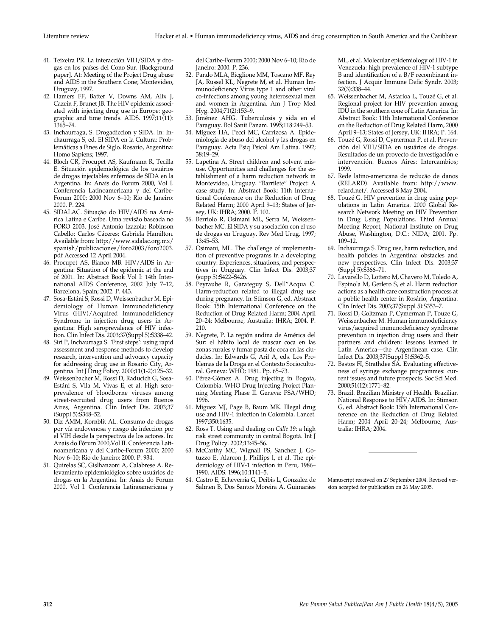- 41. Teixeira PR. La interacción VIH/SIDA y drogas en los países del Cono Sur. [Background paper]. At: Meeting of the Project Drug abuse and AIDS in the Southern Cone; Montevideo, Uruguay, 1997.
- 42. Hamers FF, Batter V, Downs AM, Alix J, Cazein F, Brunet JB. The HIV epidemic associated with injecting drug use in Europe: geographic and time trends. AIDS. 1997;11(11): 1365–74.
- 43. Inchaurraga, S. Drogadiccion y SIDA. In: Inchaurraga S, ed. El SIDA en la Cultura: Problemáticas a Fines de Siglo. Rosario, Argentina: Homo Sapiens; 1997.
- 44. Bloch CR, Procupet AS, Kaufmann R, Tecilla E. Situación epidemiológica de los usuários de drogas injectables enfermos de SIDA en la Argentina. In: Anais do Forum 2000, Vol I. Conferencia Latinoamericana y del Caribe-Forum 2000; 2000 Nov 6–10; Rio de Janeiro: 2000. P. 224.
- 45. SIDALAC. Situação do HIV/AIDS na América Latina e Caribe. Uma revisão baseada no FORO 2003. José Antonio Izazola; Robinson Cabello; Carlos Cáceres; Gabriela Hamilton. Available from: http://www.sidalac.org.mx/ spanish/publicaciones/foro2003/foro2003. pdf Accessed 12 April 2004.
- 46. Procupet AS, Bianco MB. HIV/AIDS in Argentina: Situation of the epidemic at the end of 2001. In: Abstract Book Vol I: 14th International AIDS Conference, 2002 July 7–12, Barcelona, Spain; 2002. P. 443.
- 47. Sosa-Estáni S, Rossi D, Weissenbacher M. Epidemiology of Human Immunodeficiency Virus (HIV)/Acquired Immunodeficiency Syndrome in injection drug users in Argentina: High seroprevalence of HIV infection. Clin Infect Dis. 2003;37(Suppl 5):S338–42.
- 48. Siri P, Inchaurraga S. 'First steps': using rapid assessment and response methods to develop research, intervention and advocacy capacity for addressing drug use in Rosario City, Argentina. Int J Drug Policy. 2000;11(1-2):125–32.
- 49. Weissenbacher M, Rossi D, Raducich G, Sosa-Estáni S, Vila M, Vivas E, et al. High seroprevalence of bloodborne viruses among street-recruited drug users from Buenos Aires, Argentina. Clin Infect Dis. 2003;37 (Suppl 5):S348–52.
- 50. Diz AMM, Kornblit AL. Consumo de drogas por vía endovenosa y riesgo de infeccion por el VIH desde la perspectiva de los actores. In: Anais do Fórum 2000,Vol II. Conferencia Latinoamericana y del Caribe-Forum 2000; 2000 Nov 6–10; Rio de Janeiro: 2000. P. 934.
- 51. Quirelas SC, Gislhanzoni A, Calabrese A. Relevamiento epidemiológico sobre usuários de drogas en la Argentina. In: Anais do Forum 2000, Vol I. Conferencia Latinoamericana y

del Caribe-Forum 2000; 2000 Nov 6–10; Rio de Janeiro: 2000. P. 236.

- 52. Pando MLA, Bicglione MM, Toscano MF, Rey JA, Russel KL, Negrete M, et al. Human Immunodeficiency Virus type 1 and other viral co-infections among young heterosexual men and women in Argentina. Am J Trop Med Hyg. 2004;71(2):153–9.
- 53. Jiménez AHG. Tuberculosis y sida en el Paraguay. Bol Sanit Panam. 1995;118:249–53.
- 54. Míguez HA, Pecci MC, Carrizosa A. Epidemiología de abuso del alcohol y las drogas en Paraguay. Acta Psiq Psicol Am Latina. 1992; 38:19–29.
- 55. Lapetina A. Street children and solvent misuse. Opportunities and challenges for the establishment of a harm reduction network in Montevideo, Uruguay. "Barrilete" Project: A case study. In: Abstract Book: 11th International Conference on the Reduction of Drug Related Harm; 2000 April 9–13; States of Jersey, UK: IHRA; 2000. P. 102.
- 56. Berriolo R, Osimani ML, Serra M, Weissenbacher MC. El SIDA y su asociación con el uso de drogas en Uruguay. Rev Med Urug. 1997; 13:45–53.
- 57. Osimani, ML. The challenge of implementation of preventive programs in a developing country: Experiences, situations, and perspectives in Uruguay. Clin Infect Dis. 2003;37 (supp 5):S422–S426.
- 58. Peyraube R, Garateguy S, Dell"Acqua C. Harm-reduction related to illegal drug use during pregnancy. In: Stimson G, ed. Abstract Book: 15th International Conference on the Reduction of Drug Related Harm; 2004 April 20–24; Melbourne, Australia: IHRA; 2004. P. 210.
- 59. Negrete, P. La región andina de América del Sur: el hábito local de mascar coca en las zonas rurales y fumar pasta de coca en las ciudades. In: Edwards G, Arif A, eds. Los Problemas de la Droga en el Contexto Sociocultural. Geneva: WHO; 1981. Pp. 65–73.
- 60. Pérez-Gómez A. Drug injecting in Bogota, Colombia. WHO Drug Injecting Project Planning Meeting Phase II. Geneva: PSA/WHO; 1996.
- 61. Miguez MJ, Page B, Baum MK. Illegal drug use and HIV-1 infection in Colombia. Lancet. 1997;350:1635.
- 62. Ross T. Using and dealing on *Calle 19*: a high risk street community in central Bogotá. Int J Drug Policy. 2002;13:45–56.
- 63. McCarthy MC, Wignall FS, Sanchez J, Gotuzzo E, Alarcon J, Phillips I, et al. The epidemiology of HIV-1 infection in Peru, 1986– 1990. AIDS. 1996;10:1141–5.
- 64. Castro E, Echeverria G, Deibis L, Gonzalez de Salmen B, Dos Santos Moreira A, Guimarães

ML, et al. Molecular epidemiology of HIV-1 in Venezuela: high prevalence of HIV-1 subtype B and identification of a B/F recombinant infection. J Acquir Immune Defic Syndr. 2003; 32(3):338–44.

- 65. Weissenbacher M, Astarloa L, Touzé G, et al. Regional project for HIV prevention among IDU in the southern cone of Latin America. In: Abstract Book: 11th International Conference on the Reduction of Drug Related Harm, 2000 April 9–13; States of Jersey, UK: IHRA; P. 164.
- 66. Touzé G, Rossi D, Cymerman P, et al. Prevención del VIH/SIDA en usuários de drogas. Resultados de un proyecto de investigación e intervención. Buenos Aires: Intercambios; 1999.
- 67. Rede latino-americana de reducão de danos (RELARD). Available from: http://www. relard.net/. Accessed 8 May 2004.
- 68. Touzé G. HIV prevention in drug using populations in Latin America. 2000 Global Research Network Meeting on HIV Prevention in Drug Using Populations. Third Annual Meeting Report, National Institute on Drug Abuse, Washington, D.C.: NIDA; 2001. Pp. 109–12.
- 69. Inchaurraga S. Drug use, harm reduction, and health policies in Argentina: obstacles and new perspectives. Clin Infect Dis. 2003;37 (Suppl 5):S366–71.
- 70. Lavarello D, Lottero M, Chavero M, Toledo A, Espinola M, Gerlero S, et al. Harm reduction actions as a health care construction process at a public health center in Rosário, Argentina. Clin Infect Dis. 2003;37(Suppl 5):S353–7.
- 71. Rossi D, Goltzman P, Cymerman P, Touze G, Weissenbacher M. Human immunodeficiency virus/acquired immunodeficiency syndrome prevention in injection drug users and their partners and children: lessons learned in Latin America—the Argentinean case. Clin Infect Dis. 2003;37(Suppl 5):S362–5.
- 72. Bastos FI, Strathdee SA. Evaluating effectiveness of syringe exchange programmes: current issues and future prospects. Soc Sci Med. 2000;51(12):1771–82.
- 73. Brazil. Brazilian Ministry of Health. Brazilian National Response to HIV/AIDS. In: Stimson G, ed. Abstract Book: 15th International Conference on the Reduction of Drug Related Harm; 2004 April 20–24; Melbourne, Australia: IHRA; 2004.

Manuscript received on 27 September 2004. Revised version accepted for publication on 26 May 2005.